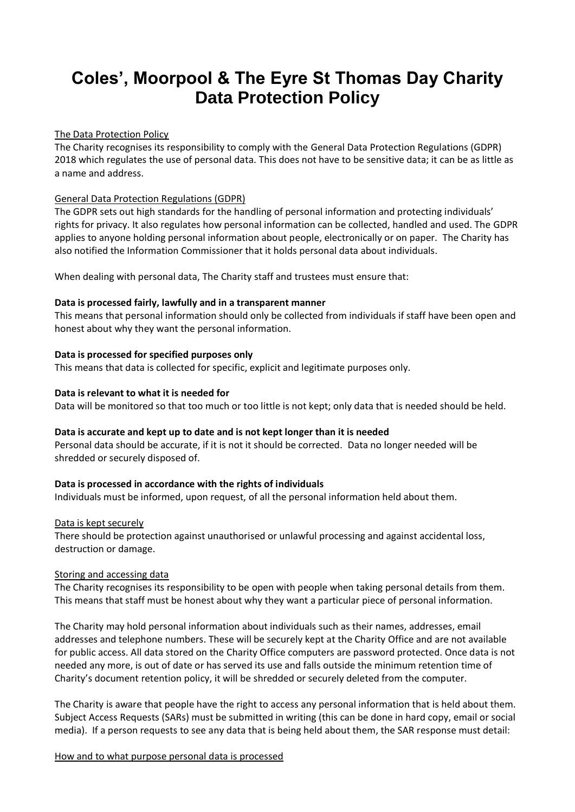# **Coles', Moorpool & The Eyre St Thomas Day Charity Data Protection Policy**

#### The Data Protection Policy

The Charity recognises its responsibility to comply with the General Data Protection Regulations (GDPR) 2018 which regulates the use of personal data. This does not have to be sensitive data; it can be as little as a name and address.

## General Data Protection Regulations (GDPR)

The GDPR sets out high standards for the handling of personal information and protecting individuals' rights for privacy. It also regulates how personal information can be collected, handled and used. The GDPR applies to anyone holding personal information about people, electronically or on paper. The Charity has also notified the Information Commissioner that it holds personal data about individuals.

When dealing with personal data, The Charity staff and trustees must ensure that:

## **Data is processed fairly, lawfully and in a transparent manner**

This means that personal information should only be collected from individuals if staff have been open and honest about why they want the personal information.

## **Data is processed for specified purposes only**

This means that data is collected for specific, explicit and legitimate purposes only.

## **Data is relevant to what it is needed for**

Data will be monitored so that too much or too little is not kept; only data that is needed should be held.

#### **Data is accurate and kept up to date and is not kept longer than it is needed**

Personal data should be accurate, if it is not it should be corrected. Data no longer needed will be shredded or securely disposed of.

## **Data is processed in accordance with the rights of individuals**

Individuals must be informed, upon request, of all the personal information held about them.

#### Data is kept securely

There should be protection against unauthorised or unlawful processing and against accidental loss, destruction or damage.

#### Storing and accessing data

The Charity recognises its responsibility to be open with people when taking personal details from them. This means that staff must be honest about why they want a particular piece of personal information.

The Charity may hold personal information about individuals such as their names, addresses, email addresses and telephone numbers. These will be securely kept at the Charity Office and are not available for public access. All data stored on the Charity Office computers are password protected. Once data is not needed any more, is out of date or has served its use and falls outside the minimum retention time of Charity's document retention policy, it will be shredded or securely deleted from the computer.

The Charity is aware that people have the right to access any personal information that is held about them. Subject Access Requests (SARs) must be submitted in writing (this can be done in hard copy, email or social media). If a person requests to see any data that is being held about them, the SAR response must detail:

#### How and to what purpose personal data is processed